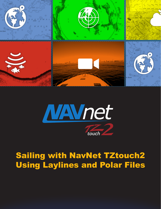



# Sailing with NavNet TZtouch2 Using Laylines and Polar Files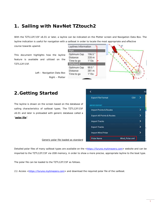# **1. Sailing with NavNet TZtouch2**

With the TZTL12F/15F v6.01 or later, a layline can be indicated on the Plotter screen and Navigation Data Box. The layline indication is useful for navigation with a sailboat in order to locate the most appropriate and effective course towards upwind.

This document highlights how the layline feature is available and utilized on the TZTL12F/15F.

> *Left – Navigation Data Box Right – Plotter*



### **2.Getting Started**

The layline is drawn on the screen based on the database of sailing characteristics of sailboat types. The TZTL12F/15F v6.01 and later is preloaded with generic database called a "**polar file**".

| <b>Export File Format</b>             | CSV            |   |
|---------------------------------------|----------------|---|
| <b>IMPORT/EXPORT</b>                  |                |   |
| <b>Import Points &amp; Routes</b>     |                |   |
| <b>Export All Points &amp; Routes</b> |                |   |
| <b>Import Tracks</b>                  |                |   |
| <b>Export Tracks</b>                  |                | У |
| <b>Import Wind Polar</b>              |                |   |
| Polar Name                            | Wind_Polar.xml |   |

*Generic polar file loaded as standard*

Detailed polar files of many sailboat types are available on the <https://furuno.mytimezero.com> website and can be imported to the TZTL12F/15F via USB memory, in order to show a more precise, appropriate layline to the boat type.

The polar file can be loaded to the TZTL12F/15F as follows.

(1) Access <https://furuno.mytimezero.com> and download the required polar file of the sailboat.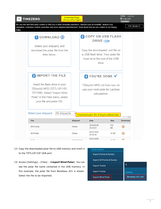| ΤZ      | <b>TIMEZERO</b>                                                                                                                                                                                                                                   | Download Page<br>(shown after login) |                                                                                                                    |                  | Hello, *****<br>$C$ Log Out<br>Customer |
|---------|---------------------------------------------------------------------------------------------------------------------------------------------------------------------------------------------------------------------------------------------------|--------------------------------------|--------------------------------------------------------------------------------------------------------------------|------------------|-----------------------------------------|
| Policy. | We use own and third-party cookies to offer you a better browsing experience, improve your accessibility, analyze your<br>navigation, customize content, promotion and serve targeted advertisement. Read about how we use cookies in our Privacy |                                      |                                                                                                                    |                  | <b>I'VE READ IT</b>                     |
|         | 1 DOWNLOAD +                                                                                                                                                                                                                                      |                                      | <b>2 COPY ON USB FLASH</b><br>DRIVE COD                                                                            |                  |                                         |
|         | Select your shipyard, and<br>download the polar file from the<br>links below.                                                                                                                                                                     |                                      | Copy the downloaded .xml file on<br>a USB flash drive. Your polar file<br>must be at the root of the USB<br>drive. |                  |                                         |
|         | <b>3 IMPORT THE FILE</b><br>Insert the flash drive in your<br>TZtouch2 MFD (TZTL12F/15F,<br>TZT2BB). Select "Import Wind<br>Polar" in the Files menu, select<br>your file and press OK.                                                           |                                      | 4 YOU'RE DONE V<br>TZtouch2 MFD will from now on<br>use your wind polar for Laylines<br>calculations.              |                  |                                         |
|         | Select your shipyard:<br><b>All shipyards</b>                                                                                                                                                                                                     |                                      | Download a plor file of target sailboat type                                                                       |                  | $[171$ files]                           |
|         | File                                                                                                                                                                                                                                              | <b>Shipyard</b>                      | <b>Date</b>                                                                                                        | <b>Size</b>      | <b>Download</b>                         |
|         | 60 ft mono                                                                                                                                                                                                                                        | <b>Others</b>                        | 2018/02/26<br>23:53:01                                                                                             | 212<br>KB        | $^\circledR$                            |
|         | 60 ft Multi                                                                                                                                                                                                                                       | <b>Others</b>                        | 2012/10/05<br>20:30:28                                                                                             | <b>12 KB</b>     | $^{\circledR}$                          |
|         | A-94                                                                                                                                                                                                                                              | Archambault                          | 2012/10/05                                                                                                         | 40 <sub>WD</sub> | ⋒                                       |

- (2) Copy the downloaded polar file to USB memory and insert it to the TZTL12F/15F USB port.
- (3) Access [Settings] [Files] [**Import Wind Polar**]. You can see the polar file name contained in the USB memory. In this example, the polar file from Beneteau 421 is shown: Select the file to be imported.